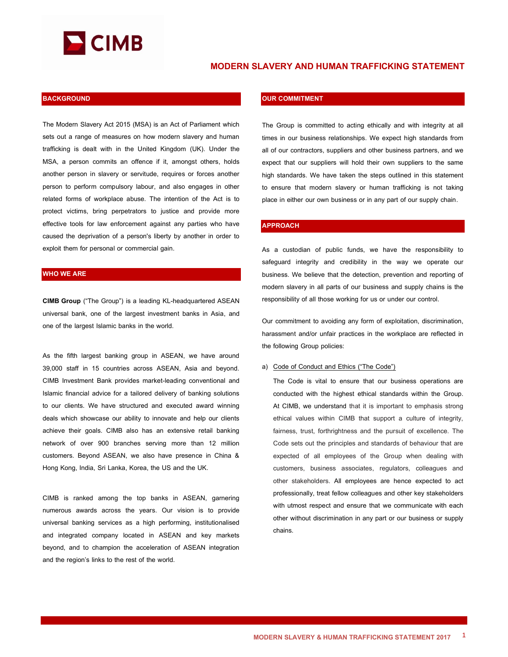

# **MODERN SLAVERY AND HUMAN TRAFFICKING STATEMENT**

### **BACKGROUND**

The Modern Slavery Act 2015 (MSA) is an Act of Parliament which sets out a range of measures on how modern slavery and human trafficking is dealt with in the United Kingdom (UK). Under the MSA, a person commits an offence if it, amongst others, holds another person in slavery or servitude, requires or forces another person to perform compulsory labour, and also engages in other related forms of workplace abuse. The intention of the Act is to protect victims, bring perpetrators to justice and provide more effective tools for law enforcement against any parties who have caused the deprivation of a person's liberty by another in order to exploit them for personal or commercial gain.

## **WHO WE ARE**

**CIMB Group** ("The Group") is a leading KL-headquartered ASEAN universal bank, one of the largest investment banks in Asia, and one of the largest Islamic banks in the world.

As the fifth largest banking group in ASEAN, we have around 39,000 staff in 15 countries across ASEAN, Asia and beyond. CIMB Investment Bank provides market-leading conventional and Islamic financial advice for a tailored delivery of banking solutions to our clients. We have structured and executed award winning deals which showcase our ability to innovate and help our clients achieve their goals. CIMB also has an extensive retail banking network of over 900 branches serving more than 12 million customers. Beyond ASEAN, we also have presence in China & Hong Kong, India, Sri Lanka, Korea, the US and the UK.

CIMB is ranked among the top banks in ASEAN, garnering numerous awards across the years. Our vision is to provide universal banking services as a high performing, institutionalised and integrated company located in ASEAN and key markets beyond, and to champion the acceleration of ASEAN integration and the region's links to the rest of the world.

### **OUR COMMITMENT**

The Group is committed to acting ethically and with integrity at all times in our business relationships. We expect high standards from all of our contractors, suppliers and other business partners, and we expect that our suppliers will hold their own suppliers to the same high standards. We have taken the steps outlined in this statement to ensure that modern slavery or human trafficking is not taking place in either our own business or in any part of our supply chain.

### **APPROACH**

As a custodian of public funds, we have the responsibility to safeguard integrity and credibility in the way we operate our business. We believe that the detection, prevention and reporting of modern slavery in all parts of our business and supply chains is the responsibility of all those working for us or under our control.

Our commitment to avoiding any form of exploitation, discrimination, harassment and/or unfair practices in the workplace are reflected in the following Group policies:

#### a) Code of Conduct and Ethics ("The Code")

The Code is vital to ensure that our business operations are conducted with the highest ethical standards within the Group. At CIMB, we understand that it is important to emphasis strong ethical values within CIMB that support a culture of integrity, fairness, trust, forthrightness and the pursuit of excellence. The Code sets out the principles and standards of behaviour that are expected of all employees of the Group when dealing with customers, business associates, regulators, colleagues and other stakeholders. All employees are hence expected to act professionally, treat fellow colleagues and other key stakeholders with utmost respect and ensure that we communicate with each other without discrimination in any part or our business or supply chains.